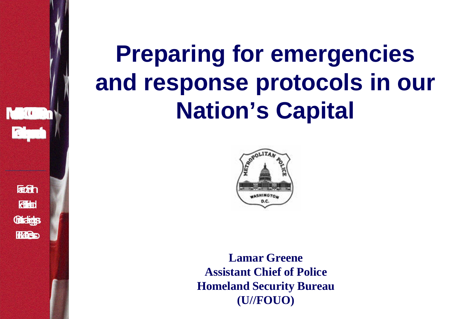



**Lamar Greene Assistant Chief of Police Homeland Security Bureau (U//FOUO)**

**Fach Filted** Grades **HACS** 

 $\begin{bmatrix} 1 & 0 \\ 0 & 1 \end{bmatrix}$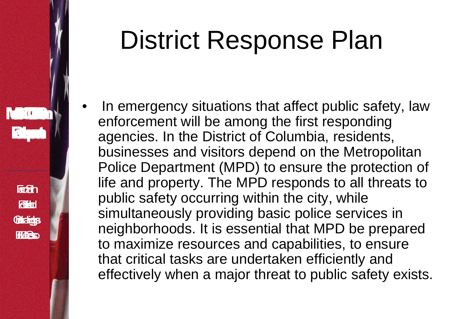# District Response Plan

In emergency situations that affect public safety, law enforcement will be among the first responding agencies. In the District of Columbia, residents, businesses and visitors depend on the Metropolitan Police Department (MPD) to ensure the protection of life and property. The MPD responds to all threats to public safety occurring within the city, while simultaneously providing basic police services in neighborhoods. It is essential that MPD be prepared to maximize resources and capabilities, to ensure that critical tasks are undertaken efficiently and effectively when a major threat to public safety exists.

**Fach** 

**Filted** 

**Gridge** 

**HAC.**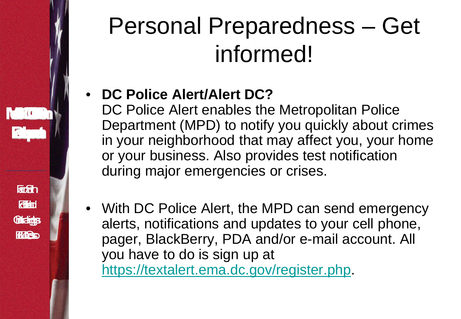# $\begin{bmatrix} 1 & 0 \\ 0 & 1 \end{bmatrix}$ **Fach Filted** Grades **HAC.**

# Personal Preparedness – Get informed!

### • **DC Police Alert/Alert DC?**

DC Police Alert enables the Metropolitan Police Department (MPD) to notify you quickly about crimes in your neighborhood that may affect you, your home or your business. Also provides test notification during major emergencies or crises.

• With DC Police Alert, the MPD can send emergency alerts, notifications and updates to your cell phone, pager, BlackBerry, PDA and/or e-mail account. All you have to do is sign up at [https://textalert.ema.dc.gov/register.php.](https://textalert.ema.dc.gov/register.php)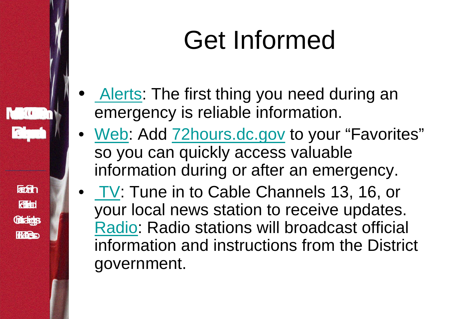# Get Informed

[Alerts](http:///): The first thing you need during an emergency is reliable information[.](http://eic.rrc.dc.gov/eic/cwp/view.asp?a=1272&q=568032&cat=1)

 $\mathcal{L} = \{(\mathbf{t} \mid \mathbf{t})$ 

Fash

**Rita** 

Grades

**HAC** 

- [Web:](http:///) Add 72 hours.dc.gov to your "Favorites" so you can quickly access valuable information during or after an emergency.
- [TV](http://eic.rrc.dc.gov/eic/cwp/view.asp?a=1272&q=568039&cat=1): Tune in to Cable Channels 13, 16, or your local news station to receive updates[.](http://eic.rrc.dc.gov/eic/cwp/view.asp?a=1272&q=568046&cat=1) [Radio](http://eic.rrc.dc.gov/eic/cwp/view.asp?a=1272&q=568046&cat=1): Radio stations will broadcast official information and instructions from the District government.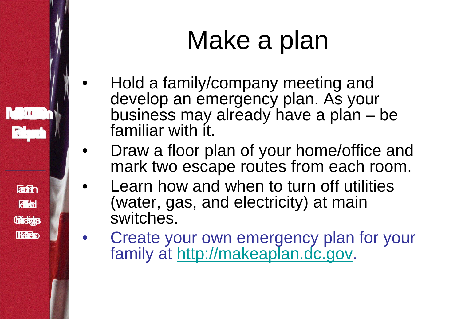# Make a plan

• Hold a family/company meeting and develop an emergency plan. As your business may already have a plan – be familiar with it.

 $\mathbb{C}(\mathbb{C}^n)$ 

**Fach** 

**Filted** 

**Gridge** 

**HAC** 

- Draw a floor plan of your home/office and mark two escape routes from each room.
- Learn how and when to turn off utilities (water, gas, and electricity) at main switches.
- Create your own emergency plan for your family at [http://makeaplan.dc.gov.](http://makeaplan.dc.gov/)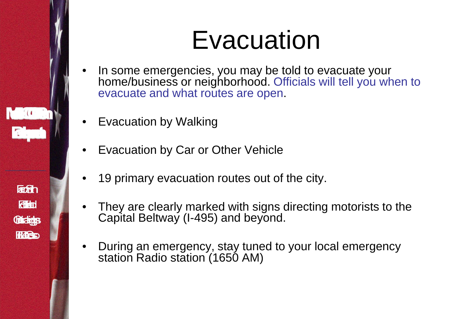

# **Evacuation**

- In some emergencies, you may be told to evacuate your home/business or neighborhood. Officials will tell you when to evacuate and what routes are open.
- **Evacuation by Walking**
- Evacuation by Car or Other Vehicle
- 19 primary evacuation routes out of the city.
- They are clearly marked with signs directing motorists to the Capital Beltway (I-495) and beyond.
- During an emergency, stay tuned to your local emergency station Radio station (1650 AM)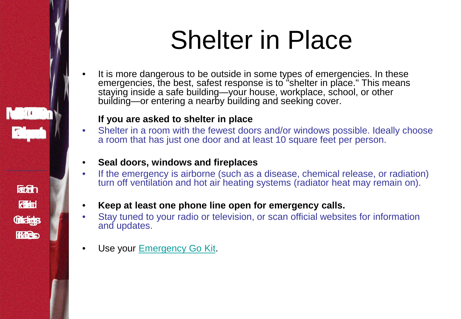# Shelter in Place

It is more dangerous to be outside in some types of emergencies. In these emergencies, the best, safest response is to "shelter in place." This means staying inside a safe building—your house, workplace, school, or other building—or entering a nearby building and seeking cover.

#### **If you are asked to shelter in place**

 $\mathcal{L} = \{(\mathbf{t}, \mathbf{t})\}$ 

**Forth** 

**Rita** 

**Gradge** 

**HACS** 

- Shelter in a room with the fewest doors and/or windows possible. Ideally choose a room that has just one door and at least 10 square feet per person.
- **Seal doors, windows and fireplaces**
- If the emergency is airborne (such as a disease, chemical release, or radiation) turn off ventilation and hot air heating systems (radiator heat may remain on).
- **Keep at least one phone line open for emergency calls.**
- Stay tuned to your radio or television, or scan official websites for information and updates.
- Use your [Emergency Go Kit](http://eic.rrc.dc.gov/eic/cwp/view.asp?a=1272&q=568081&cat=3).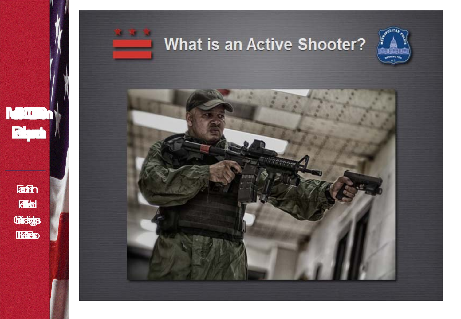

**Footh** 

**Rita** 

Gridge

Heles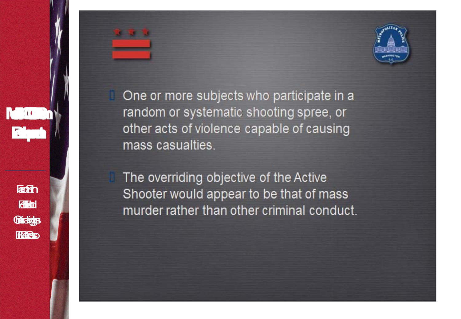

One or more subjects who participate in a random or systematic shooting spree, or other acts of violence capable of causing mass casualties.

The overriding objective of the Active Shooter would appear to be that of mass murder rather than other criminal conduct.

**Factory Rita Gridge HACS** 

 $\mathbf{I} = \mathbf{I}(\mathbf{I} \in \mathbb{R})$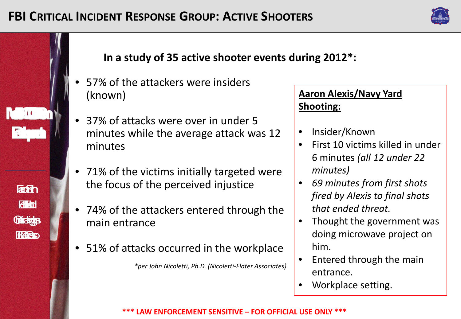

#### **In a study of 35 active shooter events during 2012\*:**

57% of the attackers were insiders (known)

 $\mathcal{L}(\mathbf{C})$ 

**Forth** 

**Rita** 

**Gridge** 

HACO

- 37% of attacks were over in under 5 minutes while the average attack was 12 minutes
- 71% of the victims initially targeted were the focus of the perceived injustice
- 74% of the attackers entered through the main entrance
- 51% of attacks occurred in the workplace *\*per John Nicoletti, Ph.D. (Nicoletti-Flater Associates)*

#### **Aaron Alexis/Navy Yard Shooting:**

- Insider/Known
- First 10 victims killed in under 6 minutes *(all 12 under 22 minutes)*
- *69 minutes from first shots fired by Alexis to final shots that ended threat.*
- Thought the government was doing microwave project on him.
- Entered through the main entrance.
- Workplace setting.

**\*\*\* LAW ENFORCEMENT SENSITIVE – FOR OFFICIAL USE ONLY \*\*\***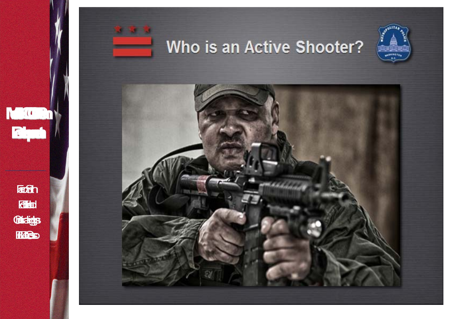

**Footh** 

dia

Grandy

HACO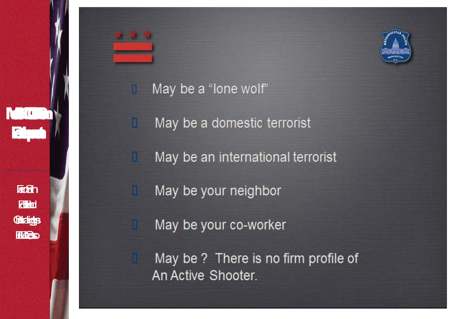

**NEGO NE** 

R



#### May be a "lone wolf"

n

H

May be a domestic terrorist

May be an international terrorist

May be your neighbor

May be your co-worker

May be ? There is no firm profile of An Active Shooter.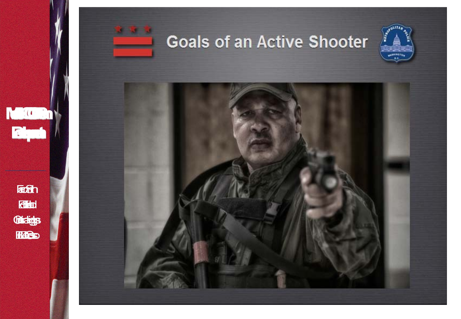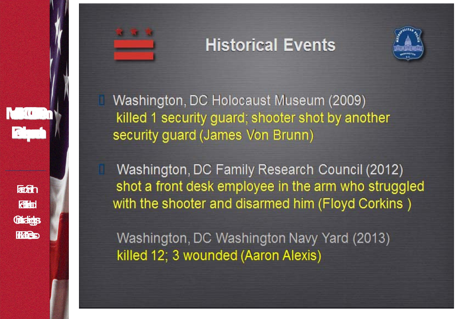### **Historical Events**



Washington, DC Holocaust Museum (2009) killed 1 security guard; shooter shot by another security guard (James Von Brunn)

Washington, DC Family Research Council (2012) shot a front desk employee in the arm who struggled with the shooter and disarmed him (Floyd Corkins)

Washington, DC Washington Navy Yard (2013) killed 12; 3 wounded (Aaron Alexis)

**Factory** 

**Rita** 

**Gradge** 

**HACS**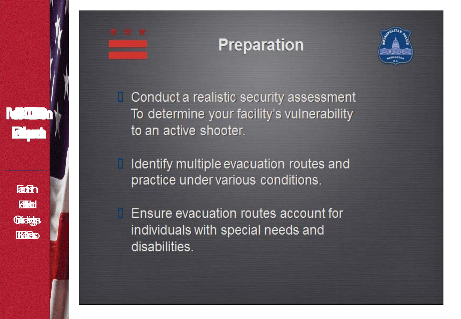### **Preparation**



Conduct a realistic security assessment To determine your facility's vulnerability to an active shooter.

 $\mathcal{L} = \{(\mathbf{t}^{\top})\}$ 

**Factory** 

**Rita** 

**Gridge** 

**HAC** 

Identify multiple evacuation routes and practice under various conditions.

Ensure evacuation routes account for individuals with special needs and disabilities.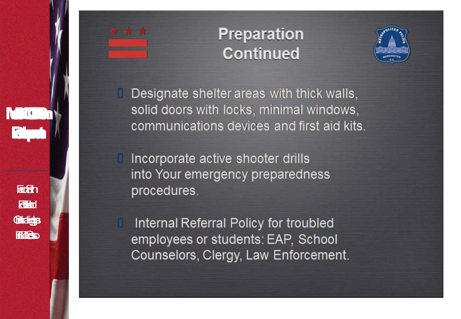

### **Preparation Continued**



Designate shelter areas with thick walls, solid doors with locks, minimal windows, communications devices and first aid kits.

Incorporate active shooter drills into Your emergency preparedness procedures.

Internal Referral Policy for troubled employees or students: EAP, School Counselors, Clergy, Law Enforcement.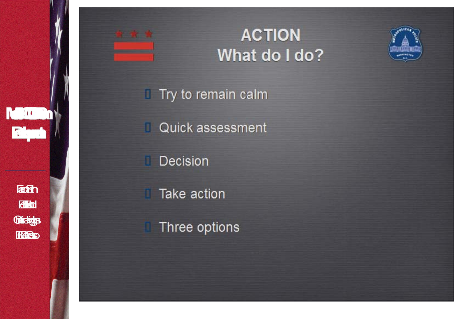

### **ACTION** What do I do?



Quick assessment

Decision n

Take action

Three options

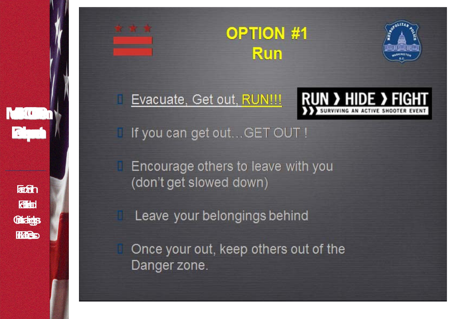

ш



Evacuate, Get out, RUN !!!



I If you can get out...GET OUT !

Encourage others to leave with you (don't get slowed down)

Leave your belongings behind

Once your out, keep others out of the Danger zone.